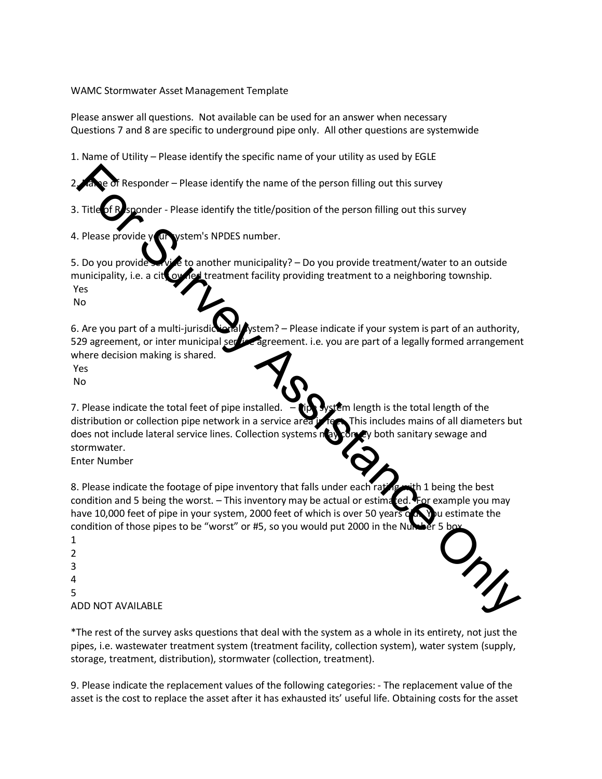## WAMC Stormwater Asset Management Template

Please answer all questions. Not available can be used for an answer when necessary Questions 7 and 8 are specific to underground pipe only. All other questions are systemwide

1. Name of Utility – Please identify the specific name of your utility as used by EGLE

Responder – Please identify the name of the person filling out this survey

3. Title of Responder - Please identify the title/position of the person filling out this survey

4. Please provide your vstem's NPDES number.

5. Do you provide service to another municipality? – Do you provide treatment/water to an outside municipality, i.e. a city owned treatment facility providing treatment to a neighboring township. Yes No

6. Are you part of a multi-jurisdictional system? – Please indicate if your system is part of an authority, 529 agreement, or inter municipal service agreement. i.e. you are part of a legally formed arrangement where decision making is shared.

Yes

No

7. Please indicate the total feet of pipe installed.  $-\prod_{r=1}^{\infty} \sqrt{r}$  system length is the total length of the distribution or collection pipe network in a service area in feet. This includes mains of all diameters but does not include lateral service lines. Collection systems nay convey both sanitary sewage and stormwater. Measure Please identify the name of the person filling out this survey<br>
Filte Condition-Please identify the title/position of the person filling out this survey<br>
Please provide<br>
Please identify the title/position of the

Enter Number

8. Please indicate the footage of pipe inventory that falls under each rating with 1 being the best condition and 5 being the worst. – This inventory may be actual or estimated. For example you may have 10,000 feet of pipe in your system, 2000 feet of which is over 50 years on You estimate the condition of those pipes to be "worst" or #5, so you would put 2000 in the Number 5

1 2 3 4 5 ADD NOT AVAILABLE



\*The rest of the survey asks questions that deal with the system as a whole in its entirety, not just the pipes, i.e. wastewater treatment system (treatment facility, collection system), water system (supply, storage, treatment, distribution), stormwater (collection, treatment).

9. Please indicate the replacement values of the following categories: - The replacement value of the asset is the cost to replace the asset after it has exhausted its' useful life. Obtaining costs for the asset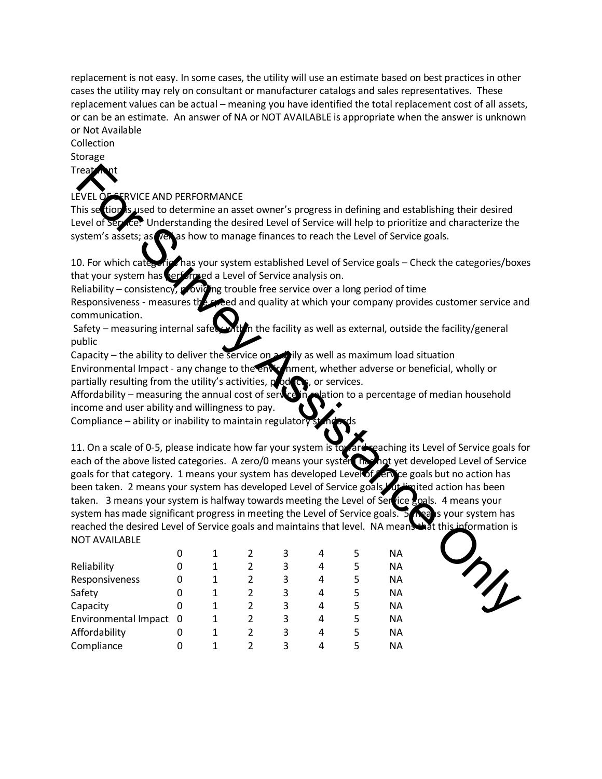replacement is not easy. In some cases, the utility will use an estimate based on best practices in other cases the utility may rely on consultant or manufacturer catalogs and sales representatives. These replacement values can be actual – meaning you have identified the total replacement cost of all assets, or can be an estimate. An answer of NA or NOT AVAILABLE is appropriate when the answer is unknown or Not Available

## Collection

Storage

Treat

LEVEL OF SERVICE AND PERFORMANCE

This section is used to determine an asset owner's progress in defining and establishing their desired Level of Service. Understanding the desired Level of Service will help to prioritize and characterize the system's assets; as vell as how to manage finances to reach the Level of Service goals.

10. For which categories has your system established Level of Service goals – Check the categories/boxes that your system has performed a Level of Service analysis on.

Reliability – consistency, providing trouble free service over a long period of time

Responsiveness - measures the speed and quality at which your company provides customer service and communication.

Safety – measuring internal safety with in the facility as well as external, outside the facility/general public

Capacity – the ability to deliver the service on a dily as well as maximum load situation Environmental Impact - any change to the environment, whether adverse or beneficial, wholly or partially resulting from the utility's activities,  $p$  od  $\alpha$ , or services.

Affordability – measuring the annual cost of service in relation to a percentage of median household income and user ability and willingness to pay.

Compliance – ability or inability to maintain regulatory

11. On a scale of 0-5, please indicate how far your system is toward reaching its Level of Service goals for each of the above listed categories. A zero/0 means your system has not yet developed Level of Service goals for that category. 1 means your system has developed Level of Service goals but no action has been taken. 2 means your system has developed Level of Service goals of limited action has been taken. 3 means your system is halfway towards meeting the Level of Service goals. 4 means your system has made significant progress in meeting the Level of Service goals. 5 meals your system has reached the desired Level of Service goals and maintains that level. NA means that this information is NOT AVAILABLE For Survey CE AND PERFORMANCE<br>
SINCE WE CAN DERFORMANCE<br>
SINCE WE VICE AND PERFORMANCE<br>
SINCE WEIGHT AND A GENERAL TRISPARE UNITED A DETAIL TRISPARE UNITED SINCE UNITED ASSESS:<br>
SINCE UNITED ASSESS:<br>
SINCE UNITED ASSESS:<br>

|                        | 0 |   |   | 3 | 4 | 5 | NА        |
|------------------------|---|---|---|---|---|---|-----------|
| Reliability            | 0 | 1 | 2 | 3 | 4 | 5 | <b>NA</b> |
| Responsiveness         | 0 |   | 2 | 3 | 4 | 5 | <b>NA</b> |
| Safety                 | 0 | 1 | 2 | 3 | 4 | 5 | <b>NA</b> |
| Capacity               | 0 | 1 | 2 | 3 | 4 | 5 | <b>NA</b> |
| Environmental Impact 0 |   |   | 2 | 3 | 4 | 5 | <b>NA</b> |
| Affordability          |   |   | 2 | 3 | 4 | 5 | ΝA        |
| Compliance             |   |   |   | 3 | 4 | 5 | NА        |

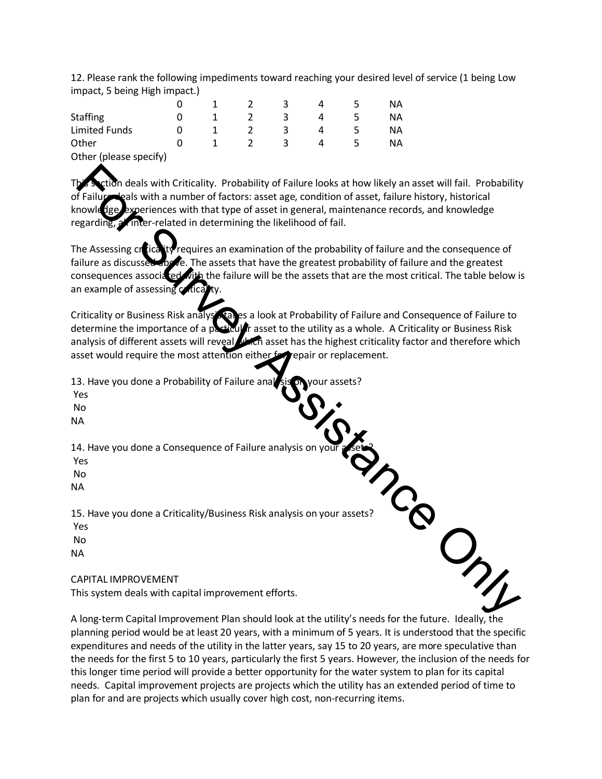12. Please rank the following impediments toward reaching your desired level of service (1 being Low impact, 5 being High impact.)

|                        |  |   |   | ΝA |
|------------------------|--|---|---|----|
| <b>Staffing</b>        |  |   |   | NА |
| <b>Limited Funds</b>   |  |   | Д | ΝA |
| Other                  |  | ≺ | 4 | ΝA |
| Other (please specify) |  |   |   |    |

n deals with Criticality. Probability of Failure looks at how likely an asset will fail. Probability cals with a number of factors: asset age, condition of asset, failure history, historical xperiences with that type of asset in general, maintenance records, and knowledge regarding, all inter-related in determining the likelihood of fail.

The Assessing criticality requires an examination of the probability of failure and the consequence of failure as discussed above. The assets that have the greatest probability of failure and the greatest consequences associated with the failure will be the assets that are the most critical. The table below is an example of assessing  $\alpha$ **Example and Solution Constability of Failure looks at how likely an asset will fall. Probability<br>
Failure and Solution anometor fractors: asset age, condition of asset, aliure history, historical<br>
Failure and Kong Meridia** 

Criticality or Business Risk analysis takes a look at Probability of Failure and Consequence of Failure to determine the importance of a particular asset to the utility as a whole. A Criticality or Business Risk analysis of different assets will reveal with asset has the highest criticality factor and therefore which asset would require the most attention either for repair or replacement.

13. Have you done a Probability of Failure analysis nyour assets?

Yes

No

NA

14. Have you done a Consequence of Failure analysis on

Yes

No

NA

15. Have you done a Criticality/Business Risk analysis on your assets?

Yes

 No NA

CAPITAL IMPROVEMENT

This system deals with capital improvement efforts.

A long-term Capital Improvement Plan should look at the utility's needs for the future. Ideally, the planning period would be at least 20 years, with a minimum of 5 years. It is understood that the specific expenditures and needs of the utility in the latter years, say 15 to 20 years, are more speculative than the needs for the first 5 to 10 years, particularly the first 5 years. However, the inclusion of the needs for this longer time period will provide a better opportunity for the water system to plan for its capital needs. Capital improvement projects are projects which the utility has an extended period of time to plan for and are projects which usually cover high cost, non-recurring items.